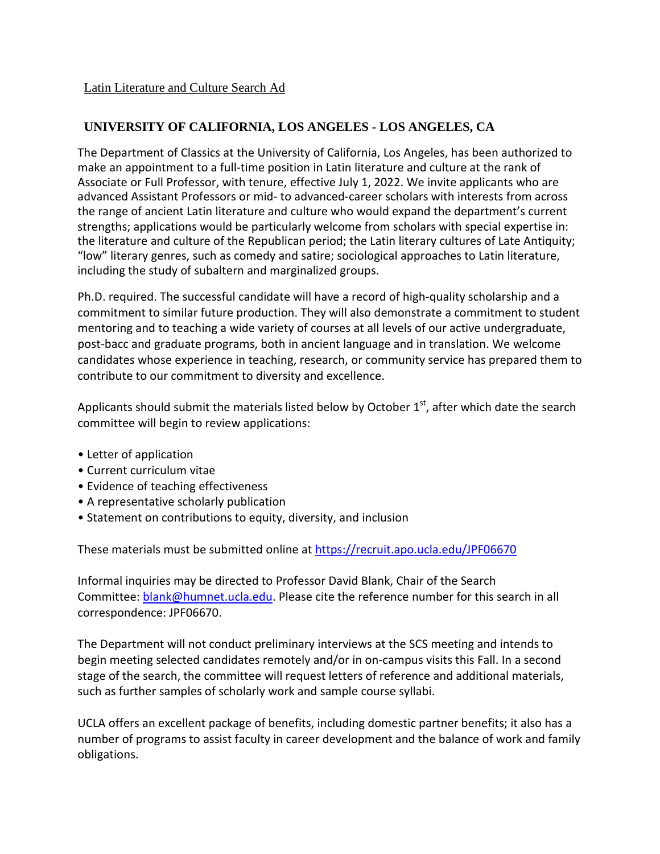## **UNIVERSITY OF CALIFORNIA, LOS ANGELES - LOS ANGELES, CA**

The Department of Classics at the University of California, Los Angeles, has been authorized to make an appointment to a full-time position in Latin literature and culture at the rank of Associate or Full Professor, with tenure, effective July 1, 2022. We invite applicants who are advanced Assistant Professors or mid- to advanced-career scholars with interests from across the range of ancient Latin literature and culture who would expand the department's current strengths; applications would be particularly welcome from scholars with special expertise in: the literature and culture of the Republican period; the Latin literary cultures of Late Antiquity; "low" literary genres, such as comedy and satire; sociological approaches to Latin literature, including the study of subaltern and marginalized groups.

Ph.D. required. The successful candidate will have a record of high-quality scholarship and a commitment to similar future production. They will also demonstrate a commitment to student mentoring and to teaching a wide variety of courses at all levels of our active undergraduate, post-bacc and graduate programs, both in ancient language and in translation. We welcome candidates whose experience in teaching, research, or community service has prepared them to contribute to our commitment to diversity and excellence.

Applicants should submit the materials listed below by October  $1<sup>st</sup>$ , after which date the search committee will begin to review applications:

- Letter of application
- Current curriculum vitae
- Evidence of teaching effectiveness
- A representative scholarly publication
- Statement on contributions to equity, diversity, and inclusion

These materials must be submitted online at<https://recruit.apo.ucla.edu/JPF06670>

Informal inquiries may be directed to Professor David Blank, Chair of the Search Committee: **blank@humnet.ucla.edu**. Please cite the reference number for this search in all correspondence: JPF06670.

The Department will not conduct preliminary interviews at the SCS meeting and intends to begin meeting selected candidates remotely and/or in on-campus visits this Fall. In a second stage of the search, the committee will request letters of reference and additional materials, such as further samples of scholarly work and sample course syllabi.

UCLA offers an excellent package of benefits, including domestic partner benefits; it also has a number of programs to assist faculty in career development and the balance of work and family obligations.